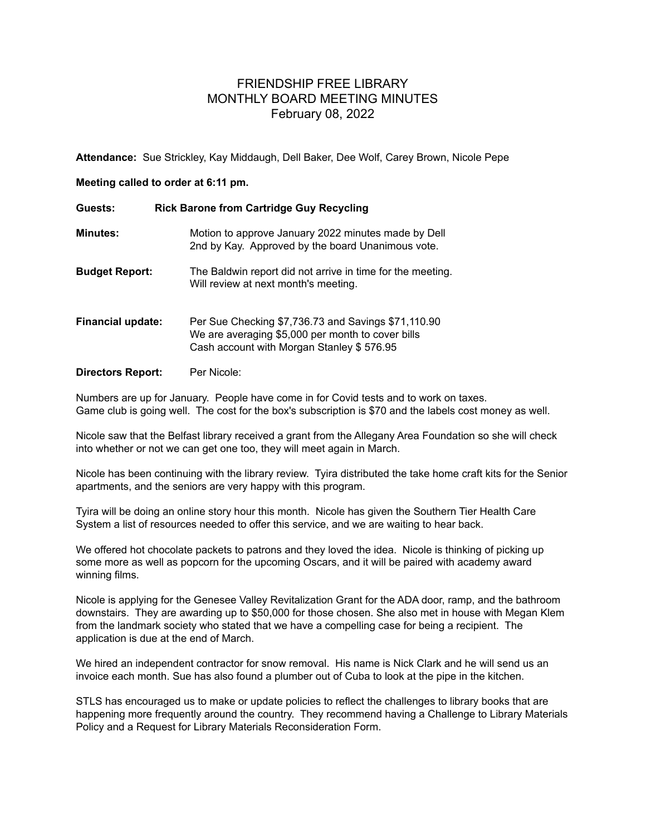## FRIENDSHIP FREE LIBRARY MONTHLY BOARD MEETING MINUTES February 08, 2022

**Attendance:** Sue Strickley, Kay Middaugh, Dell Baker, Dee Wolf, Carey Brown, Nicole Pepe

## **Meeting called to order at 6:11 pm.**

| Guests:                  | <b>Rick Barone from Cartridge Guy Recycling</b>                                                                                                       |
|--------------------------|-------------------------------------------------------------------------------------------------------------------------------------------------------|
| <b>Minutes:</b>          | Motion to approve January 2022 minutes made by Dell<br>2nd by Kay. Approved by the board Unanimous vote.                                              |
| <b>Budget Report:</b>    | The Baldwin report did not arrive in time for the meeting.<br>Will review at next month's meeting.                                                    |
| <b>Financial update:</b> | Per Sue Checking \$7,736.73 and Savings \$71,110.90<br>We are averaging \$5,000 per month to cover bills<br>Cash account with Morgan Stanley \$576.95 |
| <b>Directors Report:</b> | Per Nicole:                                                                                                                                           |

Numbers are up for January. People have come in for Covid tests and to work on taxes. Game club is going well. The cost for the box's subscription is \$70 and the labels cost money as well.

Nicole saw that the Belfast library received a grant from the Allegany Area Foundation so she will check into whether or not we can get one too, they will meet again in March.

Nicole has been continuing with the library review. Tyira distributed the take home craft kits for the Senior apartments, and the seniors are very happy with this program.

Tyira will be doing an online story hour this month. Nicole has given the Southern Tier Health Care System a list of resources needed to offer this service, and we are waiting to hear back.

We offered hot chocolate packets to patrons and they loved the idea. Nicole is thinking of picking up some more as well as popcorn for the upcoming Oscars, and it will be paired with academy award winning films.

Nicole is applying for the Genesee Valley Revitalization Grant for the ADA door, ramp, and the bathroom downstairs. They are awarding up to \$50,000 for those chosen. She also met in house with Megan Klem from the landmark society who stated that we have a compelling case for being a recipient. The application is due at the end of March.

We hired an independent contractor for snow removal. His name is Nick Clark and he will send us an invoice each month. Sue has also found a plumber out of Cuba to look at the pipe in the kitchen.

STLS has encouraged us to make or update policies to reflect the challenges to library books that are happening more frequently around the country. They recommend having a Challenge to Library Materials Policy and a Request for Library Materials Reconsideration Form.